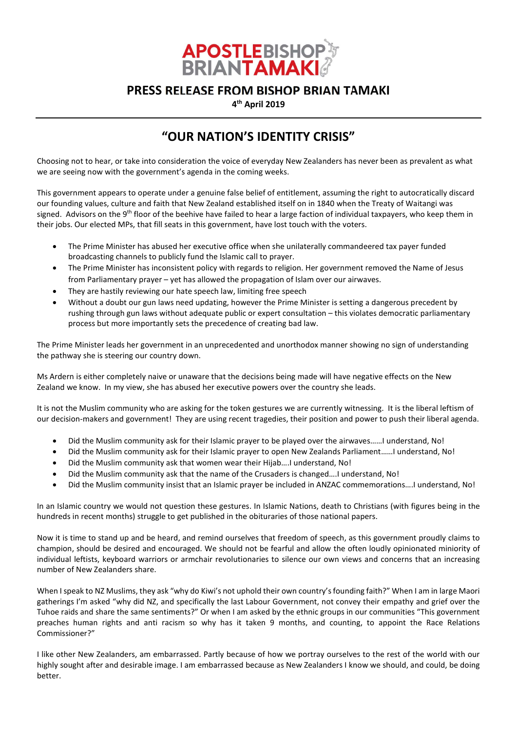

## PRESS RELEASE FROM BISHOP BRIAN TAMAKI

4<sup>th</sup> April 2019

## "OUR NATION'S IDENTITY CRISIS"

Choosing not to hear, or take into consideration the voice of everyday New Zealanders has never been as prevalent as what we are seeing now with the government's agenda in the coming weeks.

This government appears to operate under a genuine false belief of entitlement, assuming the right to autocratically discard our founding values, culture and faith that New Zealand established itself on in 1840 when the Treaty of Waitangi was signed. Advisors on the 9<sup>th</sup> floor of the beehive have failed to hear a large faction of individual taxpayers, who keep them in their jobs. Our elected MPs, that fill seats in this government, have lost touch with the voters.

- The Prime Minister has abused her executive office when she unilaterally commandeered tax payer funded broadcasting channels to publicly fund the Islamic call to prayer.
- The Prime Minister has inconsistent policy with regards to religion. Her government removed the Name of Jesus from Parliamentary prayer – yet has allowed the propagation of Islam over our airwaves.
- They are hastily reviewing our hate speech law, limiting free speech
- Without a doubt our gun laws need updating, however the Prime Minister is setting a dangerous precedent by rushing through gun laws without adequate public or expert consultation – this violates democratic parliamentary process but more importantly sets the precedence of creating bad law.

The Prime Minister leads her government in an unprecedented and unorthodox manner showing no sign of understanding the pathway she is steering our country down.

Ms Ardern is either completely naive or unaware that the decisions being made will have negative effects on the New Zealand we know. In my view, she has abused her executive powers over the country she leads.

It is not the Muslim community who are asking for the token gestures we are currently witnessing. It is the liberal leftism of our decision-makers and government! They are using recent tragedies, their position and power to push their liberal agenda.

- Did the Muslim community ask for their Islamic prayer to be played over the airwaves……I understand, No!
- Did the Muslim community ask for their Islamic prayer to open New Zealands Parliament……I understand, No!
- Did the Muslim community ask that women wear their Hijab….I understand, No!
- Did the Muslim community ask that the name of the Crusaders is changed….I understand, No!
- Did the Muslim community insist that an Islamic prayer be included in ANZAC commemorations….I understand, No!

In an Islamic country we would not question these gestures. In Islamic Nations, death to Christians (with figures being in the hundreds in recent months) struggle to get published in the obituraries of those national papers.

Now it is time to stand up and be heard, and remind ourselves that freedom of speech, as this government proudly claims to champion, should be desired and encouraged. We should not be fearful and allow the often loudly opinionated miniority of individual leftists, keyboard warriors or armchair revolutionaries to silence our own views and concerns that an increasing number of New Zealanders share.

When I speak to NZ Muslims, they ask "why do Kiwi's not uphold their own country's founding faith?" When I am in large Maori gatherings I'm asked "why did NZ, and specifically the last Labour Government, not convey their empathy and grief over the Tuhoe raids and share the same sentiments?" Or when I am asked by the ethnic groups in our communities "This government preaches human rights and anti racism so why has it taken 9 months, and counting, to appoint the Race Relations Commissioner?"

I like other New Zealanders, am embarrassed. Partly because of how we portray ourselves to the rest of the world with our highly sought after and desirable image. I am embarrassed because as New Zealanders I know we should, and could, be doing better.